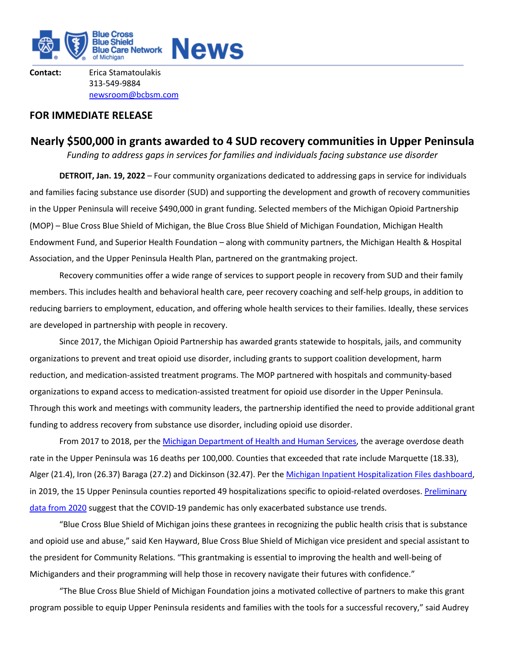

**Contact:** Erica Stamatoulakis 313-549-9884 newsroom@bcbsm.com

# **FOR IMMEDIATE RELEASE**

# **Nearly \$500,000 in grants awarded to 4 SUD recovery communities in Upper Peninsula**

*Funding to address gaps in services for families and individuals facing substance use disorder*

**DETROIT, Jan. 19, 2022** – Four community organizations dedicated to addressing gaps in service for individuals and families facing substance use disorder (SUD) and supporting the development and growth of recovery communities in the Upper Peninsula will receive \$490,000 in grant funding. Selected members of the Michigan Opioid Partnership (MOP) – Blue Cross Blue Shield of Michigan, the Blue Cross Blue Shield of Michigan Foundation, Michigan Health Endowment Fund, and Superior Health Foundation – along with community partners, the Michigan Health & Hospital Association, and the Upper Peninsula Health Plan, partnered on the grantmaking project.

Recovery communities offer a wide range of services to support people in recovery from SUD and their family members. This includes health and behavioral health care, peer recovery coaching and self-help groups, in addition to reducing barriers to employment, education, and offering whole health services to their families. Ideally, these services are developed in partnership with people in recovery.

Since 2017, the Michigan Opioid Partnership has awarded grants statewide to hospitals, jails, and community organizations to prevent and treat opioid use disorder, including grants to support coalition development, harm reduction, and medication-assisted treatment programs. The MOP partnered with hospitals and community-based organizations to expand access to medication-assisted treatment for opioid use disorder in the Upper Peninsula. Through this work and meetings with community leaders, the partnership identified the need to provide additional grant funding to address recovery from substance use disorder, including opioid use disorder.

From 2017 to 2018, per the Michigan Department of Health and Human Services, the average overdose death rate in the Upper Peninsula was 16 deaths per 100,000. Counties that exceeded that rate include Marquette (18.33), Alger (21.4), Iron (26.37) Baraga (27.2) and Dickinson (32.47). Per the Michigan Inpatient Hospitalization Files dashboard, in 2019, the 15 Upper Peninsula counties reported 49 hospitalizations specific to opioid-related overdoses. Preliminary data from 2020 suggest that the COVID-19 pandemic has only exacerbated substance use trends.

"Blue Cross Blue Shield of Michigan joins these grantees in recognizing the public health crisis that is substance and opioid use and abuse," said Ken Hayward, Blue Cross Blue Shield of Michigan vice president and special assistant to the president for Community Relations. "This grantmaking is essential to improving the health and well-being of Michiganders and their programming will help those in recovery navigate their futures with confidence."

"The Blue Cross Blue Shield of Michigan Foundation joins a motivated collective of partners to make this grant program possible to equip Upper Peninsula residents and families with the tools for a successful recovery," said Audrey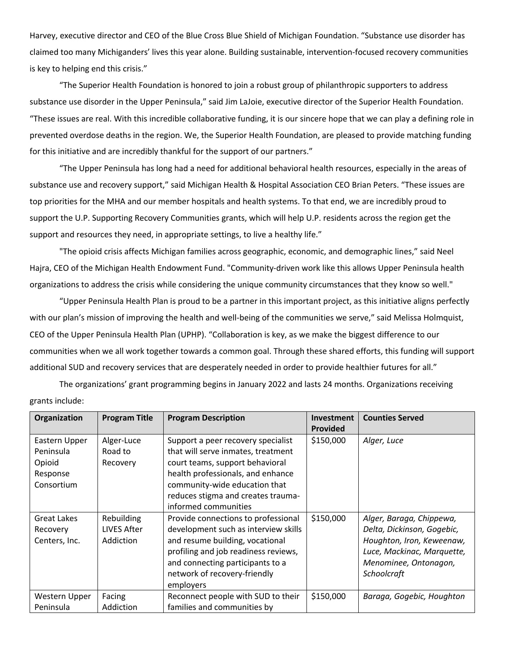Harvey, executive director and CEO of the Blue Cross Blue Shield of Michigan Foundation. "Substance use disorder has claimed too many Michiganders' lives this year alone. Building sustainable, intervention-focused recovery communities is key to helping end this crisis."

"The Superior Health Foundation is honored to join a robust group of philanthropic supporters to address substance use disorder in the Upper Peninsula," said Jim LaJoie, executive director of the Superior Health Foundation. "These issues are real. With this incredible collaborative funding, it is our sincere hope that we can play a defining role in prevented overdose deaths in the region. We, the Superior Health Foundation, are pleased to provide matching funding for this initiative and are incredibly thankful for the support of our partners."

"The Upper Peninsula has long had a need for additional behavioral health resources, especially in the areas of substance use and recovery support," said Michigan Health & Hospital Association CEO Brian Peters. "These issues are top priorities for the MHA and our member hospitals and health systems. To that end, we are incredibly proud to support the U.P. Supporting Recovery Communities grants, which will help U.P. residents across the region get the support and resources they need, in appropriate settings, to live a healthy life."

"The opioid crisis affects Michigan families across geographic, economic, and demographic lines," said Neel Hajra, CEO of the Michigan Health Endowment Fund. "Community-driven work like this allows Upper Peninsula health organizations to address the crisis while considering the unique community circumstances that they know so well."

"Upper Peninsula Health Plan is proud to be a partner in this important project, as this initiative aligns perfectly with our plan's mission of improving the health and well-being of the communities we serve," said Melissa Holmquist, CEO of the Upper Peninsula Health Plan (UPHP). "Collaboration is key, as we make the biggest difference to our communities when we all work together towards a common goal. Through these shared efforts, this funding will support additional SUD and recovery services that are desperately needed in order to provide healthier futures for all."

The organizations' grant programming begins in January 2022 and lasts 24 months. Organizations receiving grants include:

| Organization                                                   | <b>Program Title</b>                   | <b>Program Description</b>                                                                                                                                                                                                                      | Investment<br>Provided | <b>Counties Served</b>                                                                                                                                    |
|----------------------------------------------------------------|----------------------------------------|-------------------------------------------------------------------------------------------------------------------------------------------------------------------------------------------------------------------------------------------------|------------------------|-----------------------------------------------------------------------------------------------------------------------------------------------------------|
| Eastern Upper<br>Peninsula<br>Opioid<br>Response<br>Consortium | Alger-Luce<br>Road to<br>Recovery      | Support a peer recovery specialist<br>that will serve inmates, treatment<br>court teams, support behavioral<br>health professionals, and enhance<br>community-wide education that<br>reduces stigma and creates trauma-<br>informed communities | \$150,000              | Alger, Luce                                                                                                                                               |
| <b>Great Lakes</b><br>Recovery<br>Centers, Inc.                | Rebuilding<br>LIVES After<br>Addiction | Provide connections to professional<br>development such as interview skills<br>and resume building, vocational<br>profiling and job readiness reviews,<br>and connecting participants to a<br>network of recovery-friendly<br>employers         | \$150,000              | Alger, Baraga, Chippewa,<br>Delta, Dickinson, Gogebic,<br>Houghton, Iron, Keweenaw,<br>Luce, Mackinac, Marquette,<br>Menominee, Ontonagon,<br>Schoolcraft |
| Western Upper<br>Peninsula                                     | Facing<br>Addiction                    | Reconnect people with SUD to their<br>families and communities by                                                                                                                                                                               | \$150,000              | Baraga, Gogebic, Houghton                                                                                                                                 |